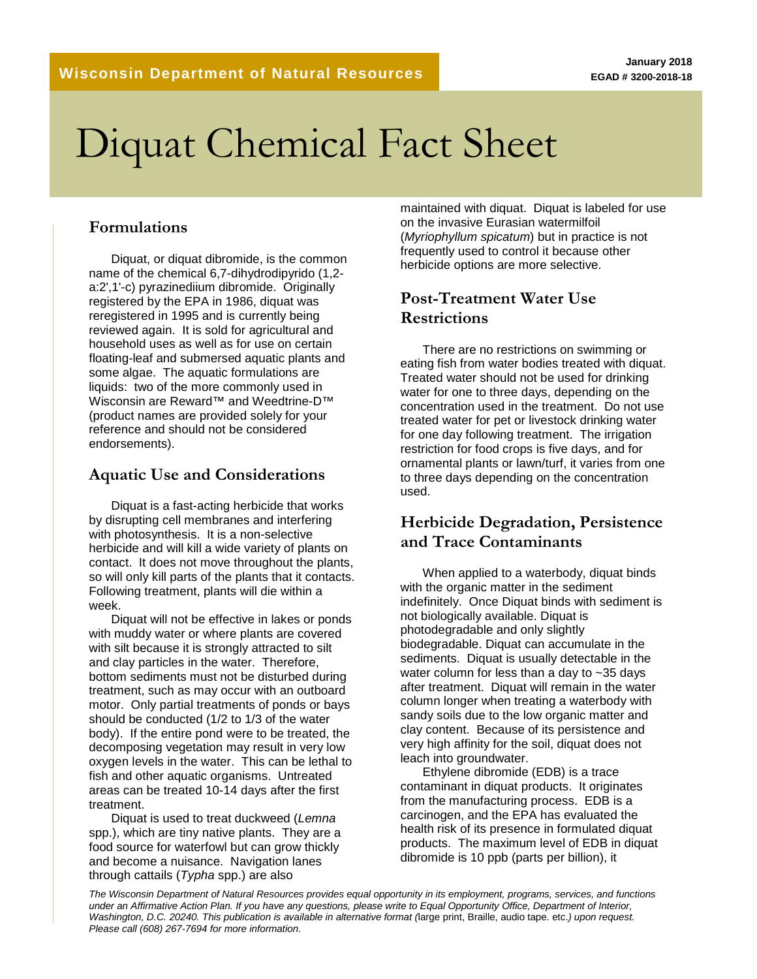# Diquat Chemical Fact Sheet

## **Formulations**

Diquat, or diquat dibromide, is the common name of the chemical 6,7-dihydrodipyrido (1,2 a:2',1'-c) pyrazinediium dibromide. Originally registered by the EPA in 1986, diquat was reregistered in 1995 and is currently being reviewed again. It is sold for agricultural and household uses as well as for use on certain floating-leaf and submersed aquatic plants and some algae. The aquatic formulations are liquids: two of the more commonly used in Wisconsin are Reward™ and Weedtrine-D™ (product names are provided solely for your reference and should not be considered endorsements).

# **Aquatic Use and Considerations**

Diquat is a fast-acting herbicide that works by disrupting cell membranes and interfering with photosynthesis. It is a non-selective herbicide and will kill a wide variety of plants on contact. It does not move throughout the plants, so will only kill parts of the plants that it contacts. Following treatment, plants will die within a week.

Diquat will not be effective in lakes or ponds with muddy water or where plants are covered with silt because it is strongly attracted to silt and clay particles in the water. Therefore, bottom sediments must not be disturbed during treatment, such as may occur with an outboard motor. Only partial treatments of ponds or bays should be conducted (1/2 to 1/3 of the water body). If the entire pond were to be treated, the decomposing vegetation may result in very low oxygen levels in the water. This can be lethal to fish and other aquatic organisms. Untreated areas can be treated 10-14 days after the first treatment.

Diquat is used to treat duckweed (*Lemna* spp.), which are tiny native plants. They are a food source for waterfowl but can grow thickly and become a nuisance. Navigation lanes through cattails (*Typha* spp.) are also

maintained with diquat. Diquat is labeled for use on the invasive Eurasian watermilfoil (*Myriophyllum spicatum*) but in practice is not frequently used to control it because other herbicide options are more selective.

# **Post-Treatment Water Use Restrictions**

There are no restrictions on swimming or eating fish from water bodies treated with diquat. Treated water should not be used for drinking water for one to three days, depending on the concentration used in the treatment. Do not use treated water for pet or livestock drinking water for one day following treatment. The irrigation restriction for food crops is five days, and for ornamental plants or lawn/turf, it varies from one to three days depending on the concentration used.

# **Herbicide Degradation, Persistence and Trace Contaminants**

When applied to a waterbody, diquat binds with the organic matter in the sediment indefinitely. Once Diquat binds with sediment is not biologically available. Diquat is photodegradable and only slightly biodegradable. Diquat can accumulate in the sediments. Diquat is usually detectable in the water column for less than a day to ~35 days after treatment. Diquat will remain in the water column longer when treating a waterbody with sandy soils due to the low organic matter and clay content. Because of its persistence and very high affinity for the soil, diquat does not leach into groundwater.

Ethylene dibromide (EDB) is a trace contaminant in diquat products. It originates from the manufacturing process. EDB is a carcinogen, and the EPA has evaluated the health risk of its presence in formulated diquat products. The maximum level of EDB in diquat dibromide is 10 ppb (parts per billion), it

*The Wisconsin Department of Natural Resources provides equal opportunity in its employment, programs, services, and functions under an Affirmative Action Plan. If you have any questions, please write to Equal Opportunity Office, Department of Interior, Washington, D.C. 20240. This publication is available in alternative format (*large print, Braille, audio tape. etc.*) upon request. Please call (608) 267-7694 for more information.*